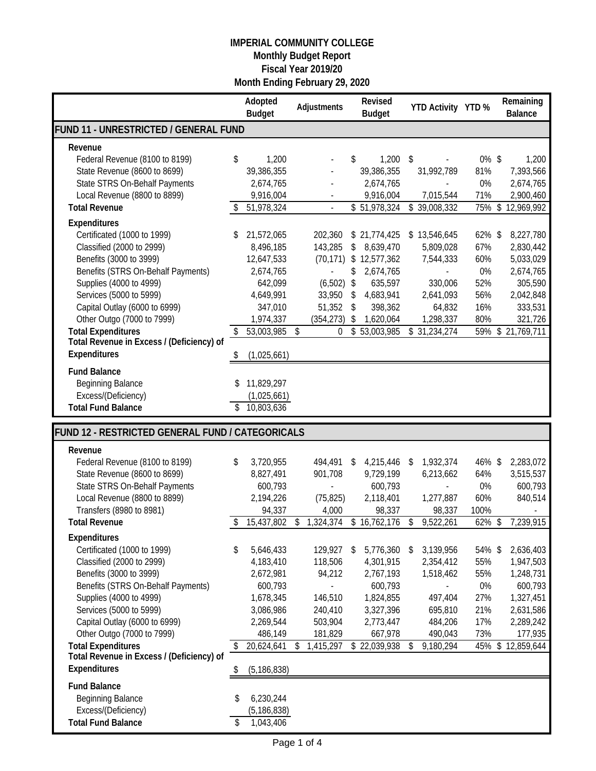|                                                                        |    | Adopted<br><b>Budget</b>   | Adjustments            | Revised<br><b>Budget</b>  |     | YTD Activity YTD % |          | Remaining<br><b>Balance</b> |
|------------------------------------------------------------------------|----|----------------------------|------------------------|---------------------------|-----|--------------------|----------|-----------------------------|
| FUND 11 - UNRESTRICTED / GENERAL FUND                                  |    |                            |                        |                           |     |                    |          |                             |
| Revenue                                                                |    |                            |                        |                           |     |                    |          |                             |
| Federal Revenue (8100 to 8199)                                         | \$ | 1,200                      |                        | \$<br>1,200               | -\$ |                    | $0\%$ \$ | 1,200                       |
| State Revenue (8600 to 8699)                                           |    | 39,386,355                 |                        | 39,386,355                |     | 31,992,789         | 81%      | 7,393,566                   |
| State STRS On-Behalf Payments                                          |    | 2,674,765                  |                        | 2,674,765                 |     |                    | 0%       | 2,674,765                   |
| Local Revenue (8800 to 8899)                                           |    | 9,916,004                  |                        | 9,916,004                 |     | 7,015,544          | 71%      | 2,900,460                   |
| <b>Total Revenue</b>                                                   |    | 51,978,324                 |                        | \$51,978,324              |     | \$39,008,332       | 75%\$    | 12,969,992                  |
| Expenditures                                                           |    |                            |                        |                           |     |                    |          |                             |
| Certificated (1000 to 1999)                                            | \$ | 21,572,065                 | 202,360                | \$21,774,425              |     | \$13,546,645       | 62% \$   | 8,227,780                   |
| Classified (2000 to 2999)                                              |    | 8,496,185                  | 143,285                | \$<br>8,639,470           |     | 5,809,028          | 67%      | 2,830,442                   |
| Benefits (3000 to 3999)                                                |    | 12,647,533                 |                        | $(70, 171)$ \$ 12,577,362 |     | 7,544,333          | 60%      | 5,033,029                   |
| Benefits (STRS On-Behalf Payments)                                     |    | 2,674,765                  |                        | \$<br>2,674,765           |     | $\overline{a}$     | 0%       | 2,674,765                   |
| Supplies (4000 to 4999)                                                |    | 642,099                    | (6, 502)               | \$<br>635,597             |     | 330,006            | 52%      | 305,590                     |
| Services (5000 to 5999)                                                |    | 4,649,991                  | 33,950                 | \$<br>4,683,941           |     | 2,641,093          | 56%      | 2,042,848                   |
| Capital Outlay (6000 to 6999)                                          |    | 347,010                    | 51,352                 | \$<br>398,362             |     | 64,832             | 16%      | 333,531                     |
| Other Outgo (7000 to 7999)                                             |    | 1,974,337                  | (354, 273)             | \$<br>1,620,064           |     | 1,298,337          | 80%      | 321,726                     |
| <b>Total Expenditures</b>                                              | \$ | 53,003,985                 | \$<br>$\boldsymbol{0}$ | \$53,003,985              |     | \$31,234,274       |          | 59% \$ 21,769,711           |
| Total Revenue in Excess / (Deficiency) of<br>Expenditures              |    | (1,025,661)                |                        |                           |     |                    |          |                             |
| <b>Fund Balance</b>                                                    |    |                            |                        |                           |     |                    |          |                             |
| <b>Beginning Balance</b>                                               | \$ | 11,829,297                 |                        |                           |     |                    |          |                             |
| Excess/(Deficiency)                                                    |    | (1,025,661)                |                        |                           |     |                    |          |                             |
| <b>Total Fund Balance</b>                                              | \$ | 10,803,636                 |                        |                           |     |                    |          |                             |
|                                                                        |    |                            |                        |                           |     |                    |          |                             |
|                                                                        |    |                            |                        |                           |     |                    |          |                             |
| FUND 12 - RESTRICTED GENERAL FUND / CATEGORICALS                       |    |                            |                        |                           |     |                    |          |                             |
| Revenue                                                                |    |                            |                        |                           |     |                    |          |                             |
| Federal Revenue (8100 to 8199)                                         | \$ | 3,720,955                  | 494,491                | \$<br>4,215,446           | -\$ | 1,932,374          | 46% \$   | 2,283,072                   |
| State Revenue (8600 to 8699)                                           |    | 8,827,491                  | 901,708                | 9,729,199                 |     | 6,213,662          | 64%      | 3,515,537                   |
| State STRS On-Behalf Payments                                          |    | 600,793                    |                        | 600,793                   |     |                    | 0%       | 600,793                     |
| Local Revenue (8800 to 8899)                                           |    | 2,194,226                  | (75, 825)              | 2,118,401                 |     | 1,277,887          | 60%      | 840,514                     |
| Transfers (8980 to 8981)                                               |    | 94,337                     | 4,000                  | 98,337                    |     | 98,337             | 100%     |                             |
| <b>Total Revenue</b>                                                   | \$ | 15,437,802                 | \$<br>1,324,374        | \$16,762,176              | \$  | 9,522,261          | 62%      | \$<br>7,239,915             |
| Expenditures                                                           |    |                            |                        |                           |     |                    |          |                             |
| Certificated (1000 to 1999)                                            | \$ | 5,646,433                  | 129,927                | \$<br>5,776,360           | -\$ | 3,139,956          | 54% \$   | 2,636,403                   |
| Classified (2000 to 2999)                                              |    | 4,183,410                  | 118,506                | 4,301,915                 |     | 2,354,412          | 55%      | 1,947,503                   |
| Benefits (3000 to 3999)                                                |    | 2,672,981                  | 94,212                 | 2,767,193                 |     | 1,518,462          | 55%      | 1,248,731                   |
| Benefits (STRS On-Behalf Payments)                                     |    | 600,793                    |                        | 600,793                   |     |                    | $0\%$    | 600,793                     |
| Supplies (4000 to 4999)                                                |    | 1,678,345                  | 146,510                | 1,824,855                 |     | 497,404            | 27%      | 1,327,451                   |
| Services (5000 to 5999)                                                |    | 3,086,986                  | 240,410                | 3,327,396                 |     | 695,810            | 21%      | 2,631,586                   |
| Capital Outlay (6000 to 6999)                                          |    | 2,269,544                  | 503,904                | 2,773,447                 |     | 484,206            | 17%      | 2,289,242                   |
| Other Outgo (7000 to 7999)                                             | \$ | 486,149                    | \$<br>181,829          | 667,978<br>\$22,039,938   | \$  | 490,043            | 73%      | 177,935<br>12,859,644       |
| <b>Total Expenditures</b><br>Total Revenue in Excess / (Deficiency) of |    | 20,624,641                 | 1,415,297              |                           |     | 9,180,294          | 45%      | \$                          |
| Expenditures                                                           | P  | (5, 186, 838)              |                        |                           |     |                    |          |                             |
|                                                                        |    |                            |                        |                           |     |                    |          |                             |
| <b>Fund Balance</b>                                                    | \$ |                            |                        |                           |     |                    |          |                             |
| <b>Beginning Balance</b><br>Excess/(Deficiency)                        |    | 6,230,244<br>(5, 186, 838) |                        |                           |     |                    |          |                             |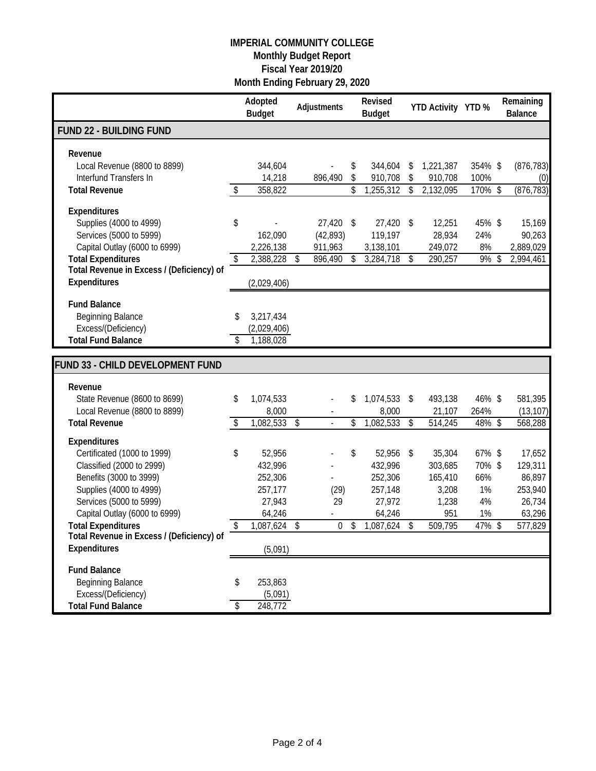|                                                                        | Adopted<br><b>Budget</b>       |                         | Adjustments    | Revised<br><b>Budget</b> |                         | YTD Activity YTD % |                | Remaining<br><b>Balance</b> |
|------------------------------------------------------------------------|--------------------------------|-------------------------|----------------|--------------------------|-------------------------|--------------------|----------------|-----------------------------|
| <b>FUND 22 - BUILDING FUND</b>                                         |                                |                         |                |                          |                         |                    |                |                             |
| Revenue<br>Local Revenue (8800 to 8899)                                | 344,604                        |                         |                | \$<br>344,604            | \$                      | 1,221,387          | 354% \$        | (876, 783)                  |
| Interfund Transfers In                                                 | 14,218                         |                         | 896,490        | \$<br>910,708            | \$                      | 910,708            | 100%           | (0)                         |
| <b>Total Revenue</b>                                                   | \$<br>358,822                  |                         |                | \$<br>1,255,312          | $\sqrt{3}$              | 2,132,095          | 170% \$        | (876, 783)                  |
| Expenditures<br>Supplies (4000 to 4999)                                | \$                             |                         | 27,420         | \$<br>27,420             | $\sqrt{3}$              | 12,251             | 45% \$         | 15,169                      |
| Services (5000 to 5999)                                                | 162,090                        |                         | (42, 893)      | 119,197                  |                         | 28,934             | 24%            | 90,263                      |
| Capital Outlay (6000 to 6999)                                          | 2,226,138                      |                         | 911,963        | 3,138,101                |                         | 249,072            | 8%             | 2,889,029                   |
| <b>Total Expenditures</b><br>Total Revenue in Excess / (Deficiency) of | \$<br>2,388,228                | $\sqrt[6]{\frac{1}{2}}$ | 896,490        | \$<br>3,284,718          | $\sqrt[6]{\frac{1}{2}}$ | 290,257            | 9%             | \$<br>2,994,461             |
| Expenditures                                                           | (2,029,406)                    |                         |                |                          |                         |                    |                |                             |
| <b>Fund Balance</b>                                                    |                                |                         |                |                          |                         |                    |                |                             |
| <b>Beginning Balance</b><br>Excess/(Deficiency)                        | \$<br>3,217,434                |                         |                |                          |                         |                    |                |                             |
| <b>Total Fund Balance</b>                                              | \$<br>(2,029,406)<br>1,188,028 |                         |                |                          |                         |                    |                |                             |
|                                                                        |                                |                         |                |                          |                         |                    |                |                             |
| <b>FUND 33 - CHILD DEVELOPMENT FUND</b>                                |                                |                         |                |                          |                         |                    |                |                             |
| Revenue                                                                |                                |                         |                |                          |                         |                    |                |                             |
| State Revenue (8600 to 8699)                                           | \$<br>1,074,533                |                         |                | \$<br>1,074,533          | $\sqrt{3}$              | 493,138            | 46% \$         | 581,395                     |
| Local Revenue (8800 to 8899)<br><b>Total Revenue</b>                   | 8,000<br>1,082,533             | \$                      |                | \$<br>8,000<br>1,082,533 |                         | 21,107<br>514,245  | 264%<br>48% \$ | (13, 107)<br>568,288        |
|                                                                        | \$                             |                         |                |                          | \$                      |                    |                |                             |
| <b>Expenditures</b><br>Certificated (1000 to 1999)                     | \$<br>52,956                   |                         |                | \$<br>52,956 \$          |                         | 35,304             | 67% \$         | 17,652                      |
| Classified (2000 to 2999)                                              | 432,996                        |                         |                | 432,996                  |                         | 303,685            | 70%\$          | 129,311                     |
| Benefits (3000 to 3999)                                                | 252,306                        |                         |                | 252,306                  |                         | 165,410            | 66%            | 86,897                      |
| Supplies (4000 to 4999)                                                | 257,177                        |                         | (29)           | 257,148                  |                         | 3,208              | 1%             | 253,940                     |
| Services (5000 to 5999)                                                | 27,943                         |                         | 29             | 27,972                   |                         | 1,238              | 4%             | 26,734                      |
| Capital Outlay (6000 to 6999)<br><b>Total Expenditures</b>             | \$<br>64,246<br>1.087.624      | -\$                     | 0 <sup>5</sup> | 64,246<br>1.087.624      | \$                      | 951<br>509.795     | 1%<br>47% \$   | 63,296<br>577,829           |
| Total Revenue in Excess / (Deficiency) of                              |                                |                         |                |                          |                         |                    |                |                             |
| <b>Expenditures</b>                                                    | (5,091)                        |                         |                |                          |                         |                    |                |                             |
| <b>Fund Balance</b>                                                    |                                |                         |                |                          |                         |                    |                |                             |
| <b>Beginning Balance</b>                                               | \$<br>253,863                  |                         |                |                          |                         |                    |                |                             |
| Excess/(Deficiency)                                                    | (5,091)                        |                         |                |                          |                         |                    |                |                             |
| <b>Total Fund Balance</b>                                              | \$<br>248,772                  |                         |                |                          |                         |                    |                |                             |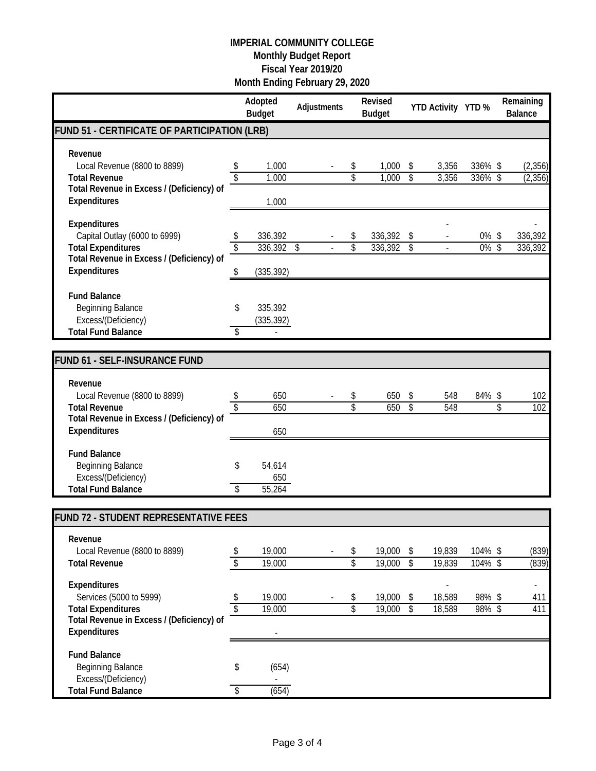|                                                                                                                                                |                               | Adopted<br><b>Budget</b>         | Adjustments |                               | Revised<br><b>Budget</b> |                                                     | YTD Activity YTD % |                       | Remaining<br><b>Balance</b>      |
|------------------------------------------------------------------------------------------------------------------------------------------------|-------------------------------|----------------------------------|-------------|-------------------------------|--------------------------|-----------------------------------------------------|--------------------|-----------------------|----------------------------------|
| FUND 51 - CERTIFICATE OF PARTICIPATION (LRB)                                                                                                   |                               |                                  |             |                               |                          |                                                     |                    |                       |                                  |
| Revenue<br>Local Revenue (8800 to 8899)<br><b>Total Revenue</b>                                                                                | \$<br>$\overline{\$}$         | 1,000<br>1,000                   |             | \$<br>\$                      | 1,000<br>1,000           | \$<br>$\overline{\mathcal{S}}$                      | 3,356<br>3,356     | 336% \$<br>336% \$    | (2,356)<br>(2, 356)              |
| Total Revenue in Excess / (Deficiency) of<br>Expenditures                                                                                      |                               | 1,000                            |             |                               |                          |                                                     |                    |                       |                                  |
| <b>Expenditures</b><br>Capital Outlay (6000 to 6999)<br><b>Total Expenditures</b><br>Total Revenue in Excess / (Deficiency) of<br>Expenditures | \$<br>\$                      | 336,392<br>336,392<br>(335, 392) | \$          | \$<br>\$                      | 336,392<br>336,392       | \$<br>$\sqrt[6]{\frac{1}{2}}$                       |                    | 0%\$<br>0%            | 336,392<br>$\sqrt{2}$<br>336,392 |
| <b>Fund Balance</b><br><b>Beginning Balance</b><br>Excess/(Deficiency)<br><b>Total Fund Balance</b>                                            | \$<br>\$                      | 335,392<br>(335, 392)            |             |                               |                          |                                                     |                    |                       |                                  |
| <b>FUND 61 - SELF-INSURANCE FUND</b>                                                                                                           |                               |                                  |             |                               |                          |                                                     |                    |                       |                                  |
|                                                                                                                                                |                               |                                  |             |                               |                          |                                                     |                    |                       |                                  |
| Revenue<br>Local Revenue (8800 to 8899)<br><b>Total Revenue</b><br>Total Revenue in Excess / (Deficiency) of                                   | \$<br>\$                      | 650<br>650                       |             | \$<br>$\overline{\mathsf{S}}$ | 650<br>650               | \$<br>$\overline{\mathcal{S}}$                      | 548<br>548         | 84% \$                | 102<br>\$<br>102                 |
| <b>Expenditures</b>                                                                                                                            |                               | 650                              |             |                               |                          |                                                     |                    |                       |                                  |
| <b>Fund Balance</b><br><b>Beginning Balance</b><br>Excess/(Deficiency)<br><b>Total Fund Balance</b>                                            | \$<br>\$                      | 54,614<br>650<br>55,264          |             |                               |                          |                                                     |                    |                       |                                  |
| FUND 72 - STUDENT REPRESENTATIVE FEES                                                                                                          |                               |                                  |             |                               |                          |                                                     |                    |                       |                                  |
| Revenue<br>Local Revenue (8800 to 8899)<br><b>Total Revenue</b>                                                                                | \$<br>$\sqrt[6]{}$            | 19,000<br>19,000                 |             | \$<br>\$                      | 19,000 \$<br>19,000      | $\overline{\mathcal{S}}$                            | 19,839<br>19,839   | 104% \$<br>$104\%$ \$ | (839)<br>(839)                   |
| Expenditures<br>Services (5000 to 5999)<br><b>Total Expenditures</b><br>Total Revenue in Excess / (Deficiency) of<br>Expenditures              | \$<br>$\sqrt[6]{\frac{1}{2}}$ | 19,000<br>19,000                 |             | \$<br>\$                      | 19,000<br>19,000         | $\sqrt[6]{\frac{1}{2}}$<br>$\overline{\mathcal{S}}$ | 18,589<br>18,589   | 98%\$<br>$98\%$ \$    | 411<br>411                       |
| <b>Fund Balance</b><br><b>Beginning Balance</b><br>Excess/(Deficiency)<br><b>Total Fund Balance</b>                                            | \$<br>\$                      | (654)<br>(654)                   |             |                               |                          |                                                     |                    |                       |                                  |